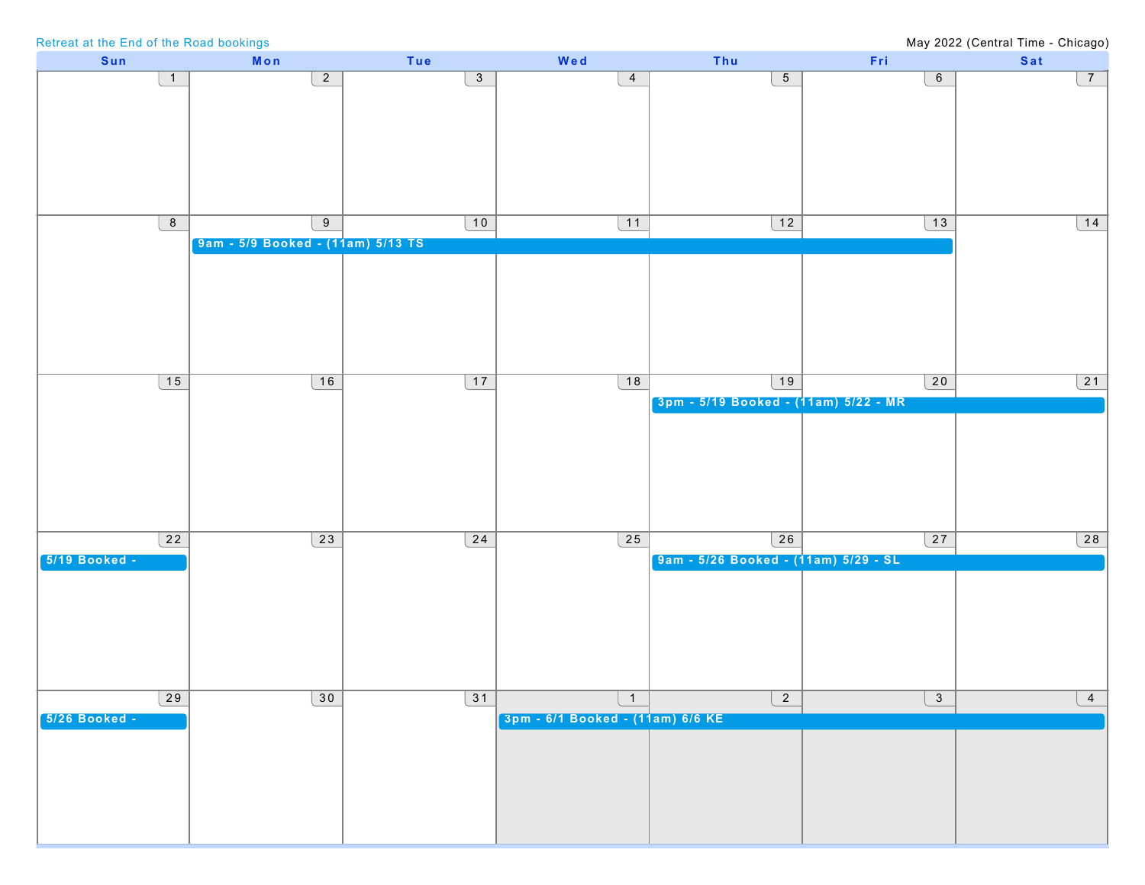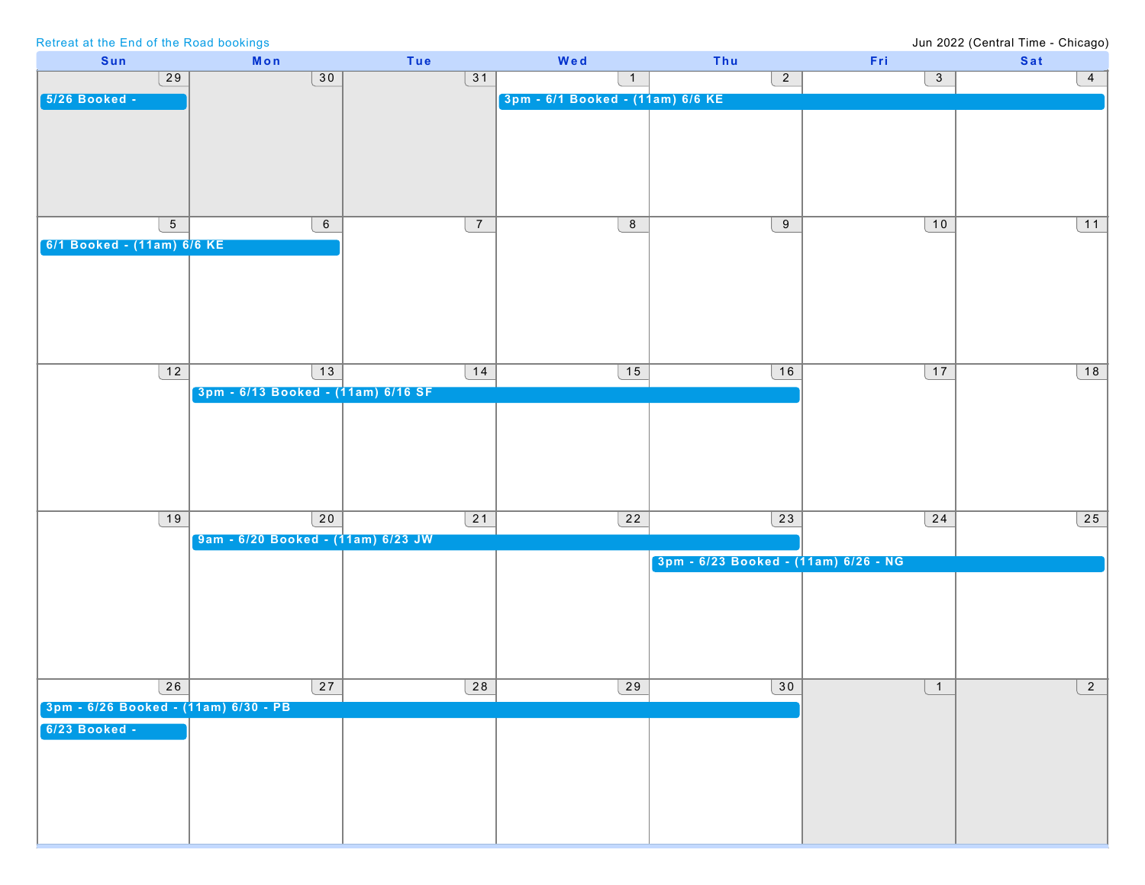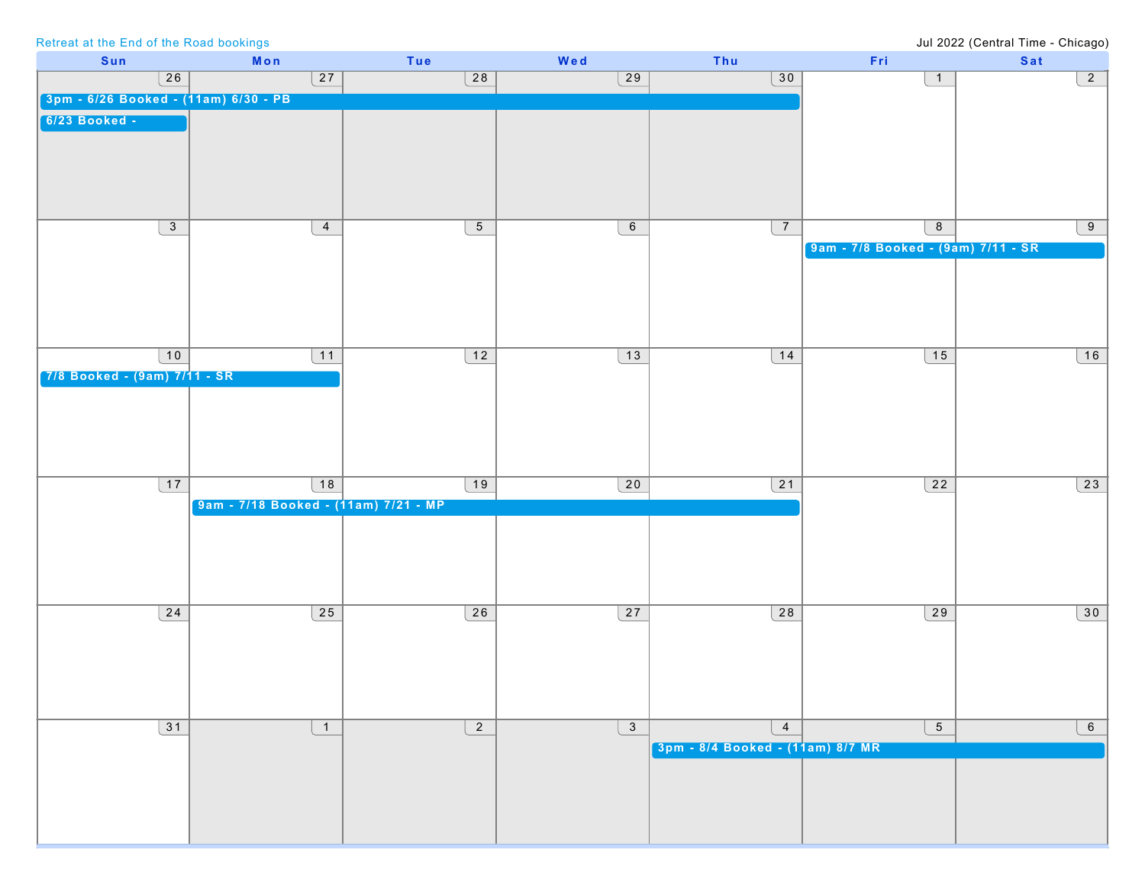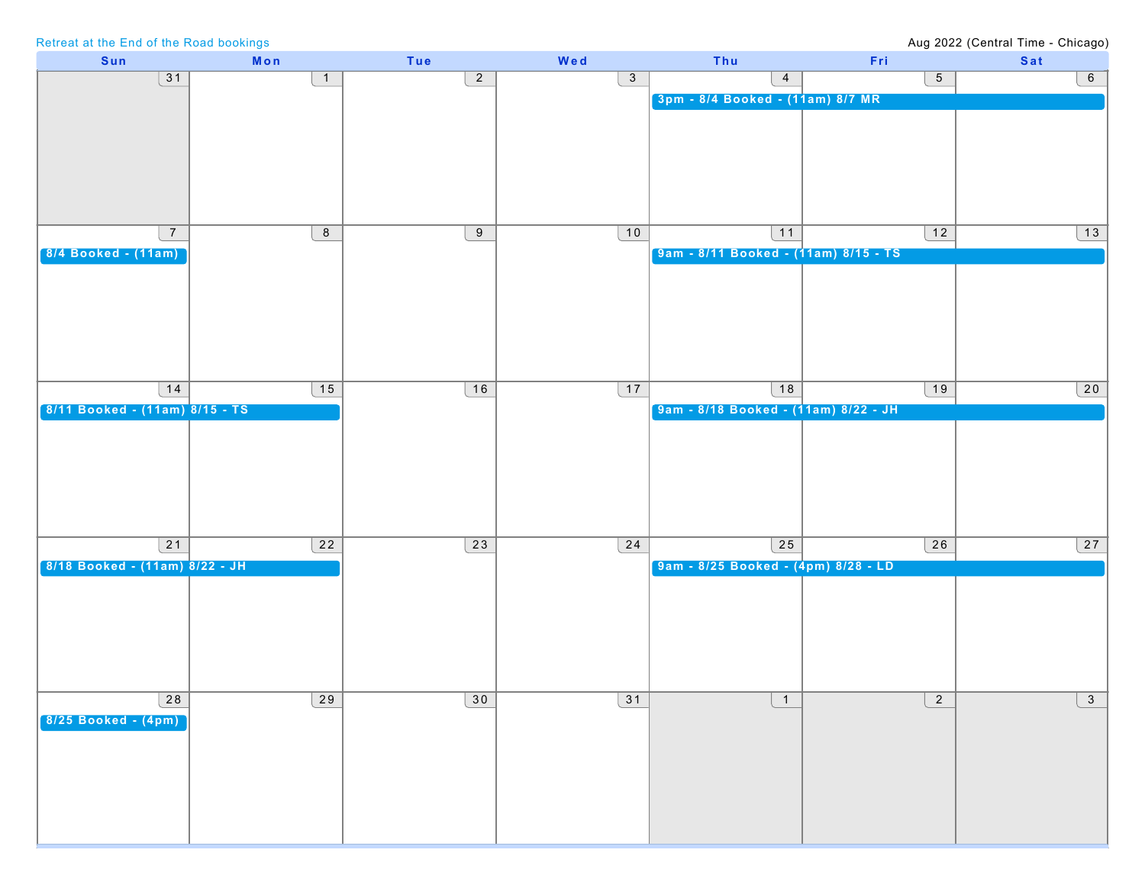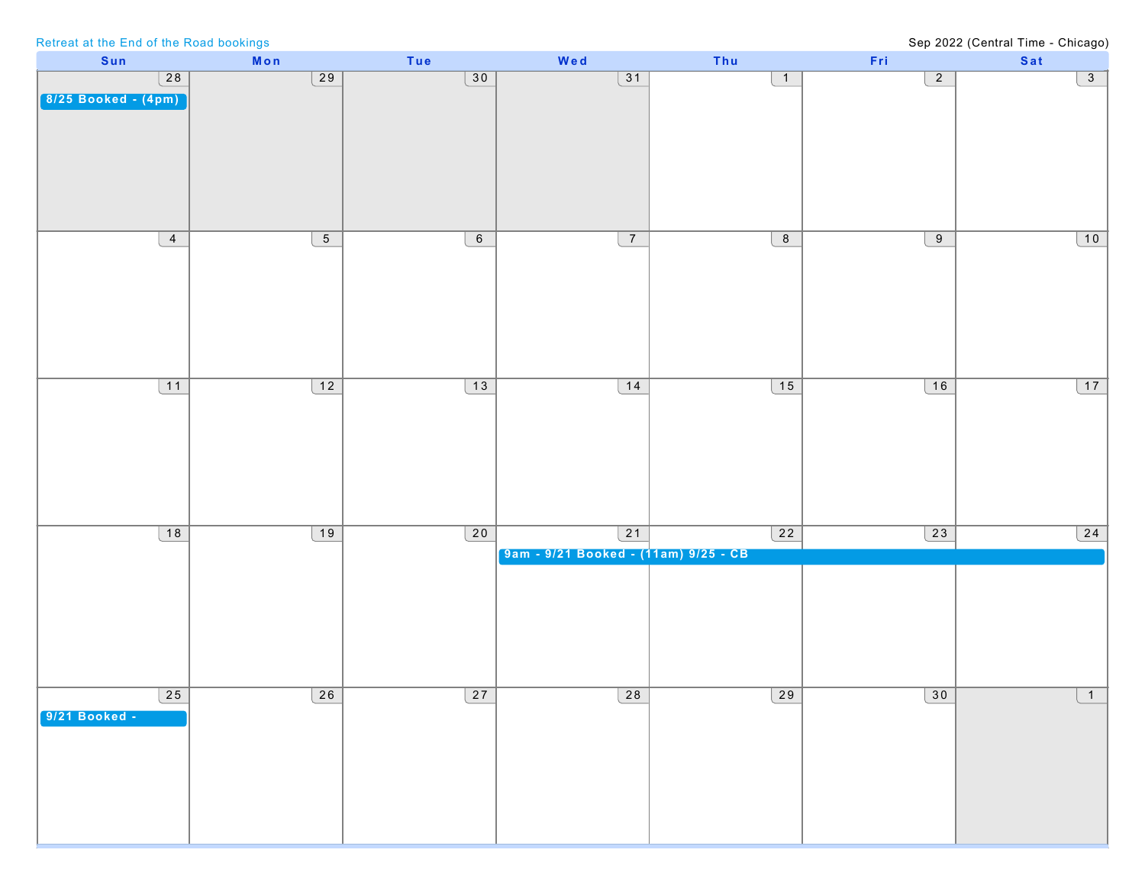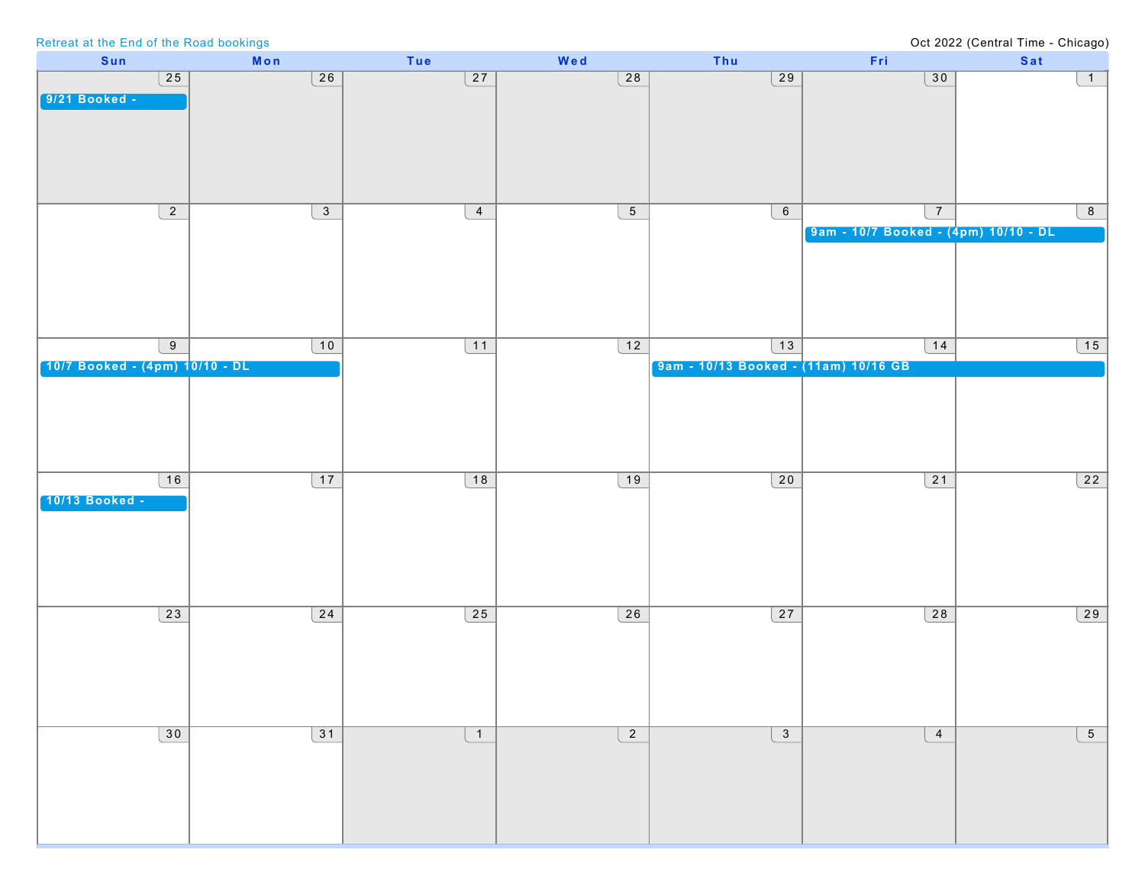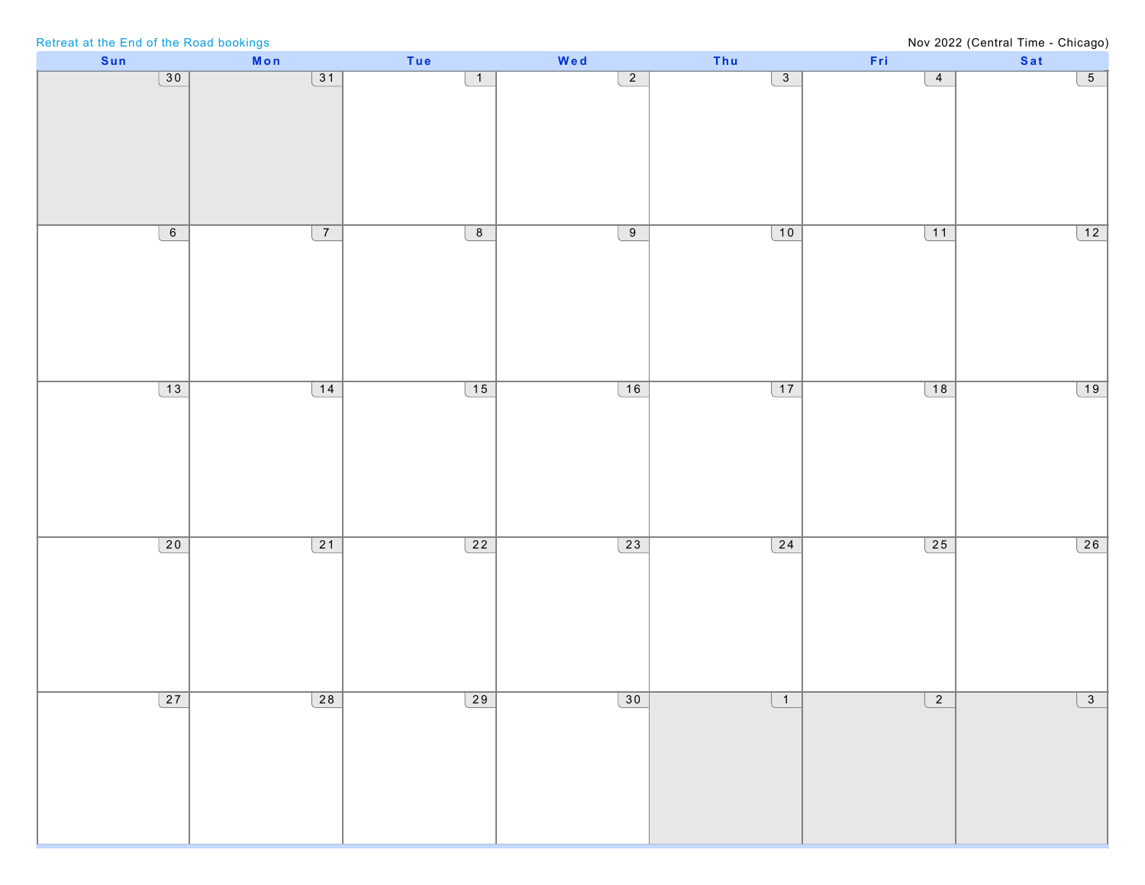